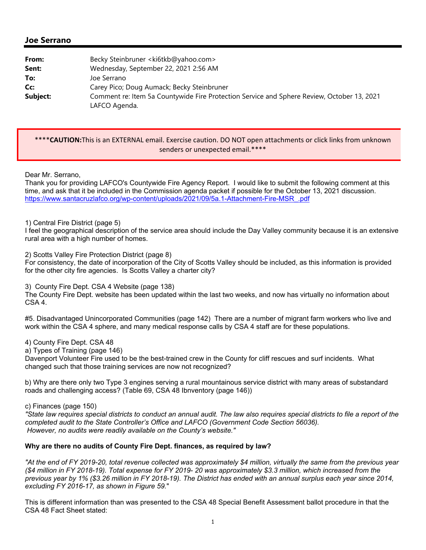# **Joe Serrano**

| From:    | Becky Steinbruner <ki6tkb@yahoo.com></ki6tkb@yahoo.com>                                                     |
|----------|-------------------------------------------------------------------------------------------------------------|
| Sent:    | Wednesday, September 22, 2021 2:56 AM                                                                       |
| To:      | Joe Serrano                                                                                                 |
| Cc:      | Carey Pico; Doug Aumack; Becky Steinbruner                                                                  |
| Subject: | Comment re: Item 5a Countywide Fire Protection Service and Sphere Review, October 13, 2021<br>LAFCO Agenda. |

## \*\*\*\***CAUTION:**This is an EXTERNAL email. Exercise caution. DO NOT open attachments or click links from unknown senders or unexpected email.\*\*\*\*

#### Dear Mr. Serrano,

Thank you for providing LAFCO's Countywide Fire Agency Report. I would like to submit the following comment at this time, and ask that it be included in the Commission agenda packet if possible for the October 13, 2021 discussion. https://www.santacruzlafco.org/wp-content/uploads/2021/09/5a.1-Attachment-Fire-MSR\_.pdf

## 1) Central Fire District (page 5)

I feel the geographical description of the service area should include the Day Valley community because it is an extensive rural area with a high number of homes.

2) Scotts Valley Fire Protection District (page 8)

For consistency, the date of incorporation of the City of Scotts Valley should be included, as this information is provided for the other city fire agencies. Is Scotts Valley a charter city?

#### 3) County Fire Dept. CSA 4 Website (page 138)

The County Fire Dept. website has been updated within the last two weeks, and now has virtually no information about CSA 4.

#5. Disadvantaged Unincorporated Communities (page 142) There are a number of migrant farm workers who live and work within the CSA 4 sphere, and many medical response calls by CSA 4 staff are for these populations.

#### 4) County Fire Dept. CSA 48

a) Types of Training (page 146)

Davenport Volunteer Fire used to be the best-trained crew in the County for cliff rescues and surf incidents. What changed such that those training services are now not recognized?

b) Why are there only two Type 3 engines serving a rural mountainous service district with many areas of substandard roads and challenging access? (Table 69, CSA 48 Ibnventory (page 146))

c) Finances (page 150)

*"State law requires special districts to conduct an annual audit. The law also requires special districts to file a report of the completed audit to the State Controller's Office and LAFCO (Government Code Section 56036). However, no audits were readily available on the County's website."* 

#### **Why are there no audits of County Fire Dept. finances, as required by law?**

*"At the end of FY 2019-20, total revenue collected was approximately \$4 million, virtually the same from the previous year (\$4 million in FY 2018-19). Total expense for FY 2019- 20 was approximately \$3.3 million, which increased from the previous year by 1% (\$3.26 million in FY 2018-19). The District has ended with an annual surplus each year since 2014, excluding FY 2016-17, as shown in Figure 59.*"

This is different information than was presented to the CSA 48 Special Benefit Assessment ballot procedure in that the CSA 48 Fact Sheet stated: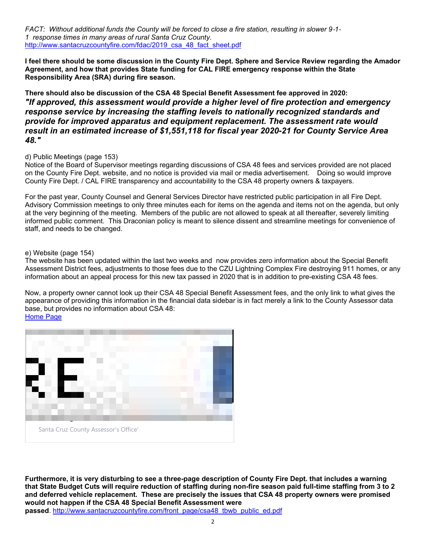*FACT: Without additional funds the County will be forced to close a fire station, resulting in slower 9*-*1*- *1 response times in many areas of rural Santa Cruz County.*  http://www.santacruzcountyfire.com/fdac/2019\_csa\_48\_fact\_sheet.pdf

**I feel there should be some discussion in the County Fire Dept. Sphere and Service Review regarding the Amador Agreement, and how that provides State funding for CAL FIRE emergency response within the State Responsibility Area (SRA) during fire season.**

**There should also be discussion of the CSA 48 Special Benefit Assessment fee approved in 2020:** *"If approved, this assessment would provide a higher level of fire protection and emergency response service by increasing the staffing levels to nationally recognized standards and provide for improved apparatus and equipment replacement. The assessment rate would result in an estimated increase of \$1,551,118 for fiscal year 2020-21 for County Service Area 48."*

## d) Public Meetings (page 153)

Notice of the Board of Supervisor meetings regarding discussions of CSA 48 fees and services provided are not placed on the County Fire Dept. website, and no notice is provided via mail or media advertisement. Doing so would improve County Fire Dept. / CAL FIRE transparency and accountability to the CSA 48 property owners & taxpayers.

For the past year, County Counsel and General Services Director have restricted public participation in all Fire Dept. Advisory Commission meetings to only three minutes each for items on the agenda and items not on the agenda, but only at the very beginning of the meeting. Members of the public are not allowed to speak at all thereafter, severely limiting informed public comment. This Draconian policy is meant to silence dissent and streamline meetings for convenience of staff, and needs to be changed.

## e) Website (page 154)

The website has been updated within the last two weeks and now provides zero information about the Special Benefit Assessment District fees, adjustments to those fees due to the CZU Lightning Complex Fire destroying 911 homes, or any information about an appeal process for this new tax passed in 2020 that is in addition to pre-existing CSA 48 fees.

Now, a property owner cannot look up their CSA 48 Special Benefit Assessment fees, and the only link to what gives the appearance of providing this information in the financial data sidebar is in fact merely a link to the County Assessor data base, but provides no information about CSA 48:

Home Page



**Furthermore, it is very disturbing to see a three-page description of County Fire Dept. that includes a warning that State Budget Cuts will require reduction of staffing during non-fire season paid full-time staffing from 3 to 2 and deferred vehicle replacement. These are precisely the issues that CSA 48 property owners were promised would not happen if the CSA 48 Special Benefit Assessment were** 

**passed**. http://www.santacruzcountyfire.com/front\_page/csa48\_tbwb\_public\_ed.pdf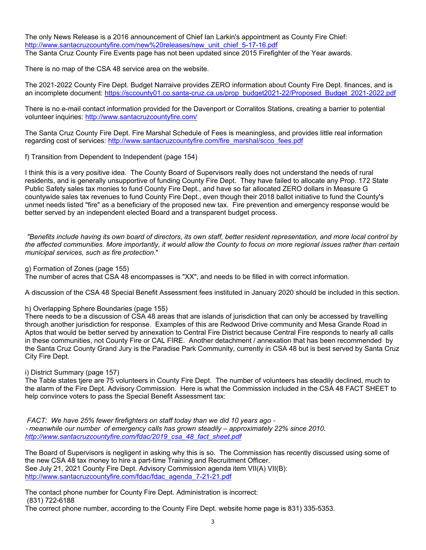The only News Release is a 2016 announcement of Chief Ian Larkin's appointment as County Fire Chief: http://www.santacruzcountyfire.com/new%20releases/new\_unit\_chief\_5-17-16.pdf The Santa Cruz County Fire Events page has not been updated since 2015 Firefighter of the Year awards.

There is no map of the CSA 48 service area on the website.

The 2021-2022 County Fire Dept. Budget Narraive provides ZERO information about County Fire Dept. finances, and is an incomplete document: https://sccounty01.co.santa-cruz.ca.us/prop\_budget2021-22/Proposed\_Budget\_2021-2022.pdf

There is no e-mail contact information provided for the Davenport or Corralitos Stations, creating a barrier to potential volunteer inquiries: http://www.santacruzcountyfire.com/

The Santa Cruz County Fire Dept. Fire Marshal Schedule of Fees is meaningless, and provides little real information regarding cost of services: http://www.santacruzcountyfire.com/fire\_marshal/scco\_fees.pdf

f) Transition from Dependent to Independent (page 154)

I think this is a very positive idea. The County Board of Supervisors really does not understand the needs of rural residents, and is generally unsupportive of funding County Fire Dept. They have failed to allocate any Prop. 172 State Public Safety sales tax monies to fund County Fire Dept., and have so far allocated ZERO dollars in Measure G countywide sales tax revenues to fund County Fire Dept., even though their 2018 ballot initiative to fund the County's unmet needs listed "fire" as a beneficiary of the proposed new tax. Fire prevention and emergency response would be better served by an independent elected Board and a transparent budget process.

 *"Benefits include having its own board of directors, its own staff, better resident representation, and more local control by the affected communities. More importantly, it would allow the County to focus on more regional issues rather than certain municipal services, such as fire protection.*"

g) Formation of Zones (page 155)

The number of acres that CSA 48 encompasses is "XX", and needs to be filled in with correct information.

A discussion of the CSA 48 Special Benefit Assessment fees instituted in January 2020 should be included in this section.

h) Overlapping Sphere Boundaries (page 155)

There needs to be a discussion of CSA 48 areas that are islands of jurisdiction that can only be accessed by travelling through another jurisdiction for response. Examples of this are Redwood Drive community and Mesa Grande Road in Aptos that would be better served by annexation to Central Fire District because Central Fire responds to nearly all calls in these communities, not County Fire or CAL FIRE. Another detachment / annexation that has been recommended by the Santa Cruz County Grand Jury is the Paradise Park Community, currently in CSA 48 but is best served by Santa Cruz City Fire Dept.

i) District Summary (page 157)

The Table states tjere are 75 volunteers in County Fire Dept. The number of volunteers has steadily declined, much to the alarm of the Fire Dept. Advisory Commission. Here is what the Commission included in the CSA 48 FACT SHEET to help convince voters to pass the Special Benefit Assessment tax:

 *FACT: We have 25% fewer firefighters on staff today than we did 10 years ago* - - *meanwhile our number of emergency calls has grown steadily – approximately 22% since 2010. http://www.santacruzcountyfire.com/fdac/2019\_csa\_48\_fact\_sheet.pdf*

The Board of Supervisors is negligent in asking why this is so. The Commission has recently discussed using some of the new CSA 48 tax money to hire a part-time Training and Recruitment Officer. See July 21, 2021 County Fire Dept. Advisory Commission agenda item VII(A) VII(B): http://www.santacruzcountyfire.com/fdac/fdac\_agenda\_7-21-21.pdf

The contact phone number for County Fire Dept. Administration is incorrect: (831) 722-6188

The correct phone number, according to the County Fire Dept. website home page is 831) 335-5353.